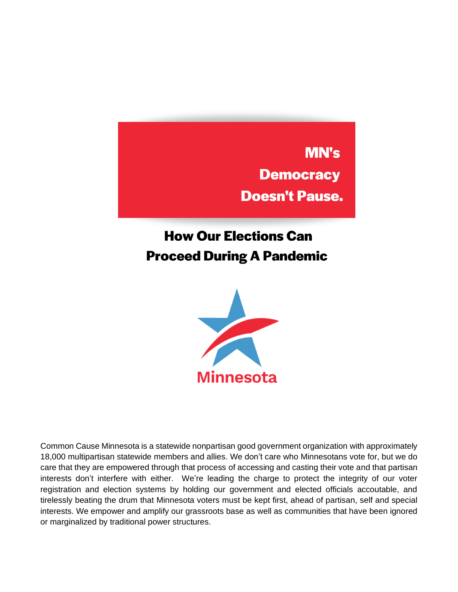**MN's Democracy Doesn't Pause.** 

# **How Our Elections Can Proceed During A Pandemic**



Common Cause Minnesota is a statewide nonpartisan good government organization with approximately 18,000 multipartisan statewide members and allies. We don't care who Minnesotans vote for, but we do care that they are empowered through that process of accessing and casting their vote and that partisan interests don't interfere with either. We're leading the charge to protect the integrity of our voter registration and election systems by holding our government and elected officials accoutable, and tirelessly beating the drum that Minnesota voters must be kept first, ahead of partisan, self and special interests. We empower and amplify our grassroots base as well as communities that have been ignored or marginalized by traditional power structures.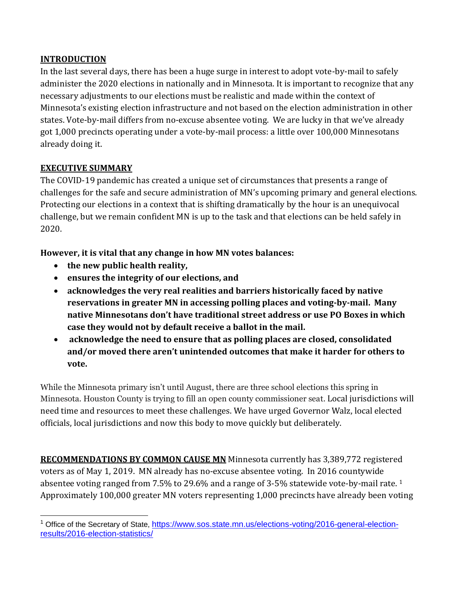#### **INTRODUCTION**

In the last several days, there has been a huge surge in interest to adopt vote-by-mail to safely administer the 2020 elections in nationally and in Minnesota. It is important to recognize that any necessary adjustments to our elections must be realistic and made within the context of Minnesota's existing election infrastructure and not based on the election administration in other states. Vote-by-mail differs from no-excuse absentee voting. We are lucky in that we've already got 1,000 precincts operating under a vote-by-mail process: a little over 100,000 Minnesotans already doing it.

#### **EXECUTIVE SUMMARY**

The COVID-19 pandemic has created a unique set of circumstances that presents a range of challenges for the safe and secure administration of MN's upcoming primary and general elections. Protecting our elections in a context that is shifting dramatically by the hour is an unequivocal challenge, but we remain confident MN is up to the task and that elections can be held safely in 2020.

**However, it is vital that any change in how MN votes balances:** 

- **the new public health reality,**
- **ensures the integrity of our elections, and**
- **acknowledges the very real realities and barriers historically faced by native reservations in greater MN in accessing polling places and voting-by-mail. Many native Minnesotans don't have traditional street address or use PO Boxes in which case they would not by default receive a ballot in the mail.**
- **acknowledge the need to ensure that as polling places are closed, consolidated and/or moved there aren't unintended outcomes that make it harder for others to vote.**

While the Minnesota primary isn't until August, there are three school elections this spring in Minnesota. Houston County is trying to fill an open county commissioner seat. Local jurisdictions will need time and resources to meet these challenges. We have urged Governor Walz, local elected officials, local jurisdictions and now this body to move quickly but deliberately.

**RECOMMENDATIONS BY COMMON CAUSE MN** Minnesota currently has 3,389,772 registered voters as of May 1, 2019. MN already has no-excuse absentee voting. In 2016 countywide absentee voting ranged from 7.5% to 29.6% and a range of 3-5% statewide vote-by-mail rate. <sup>1</sup> Approximately 100,000 greater MN voters representing 1,000 precincts have already been voting

<sup>1</sup> Office of the Secretary of State, [https://www.sos.state.mn.us/elections-voting/2016-general-election](https://www.sos.state.mn.us/elections-voting/2016-general-election-results/2016-election-statistics/)[results/2016-election-statistics/](https://www.sos.state.mn.us/elections-voting/2016-general-election-results/2016-election-statistics/)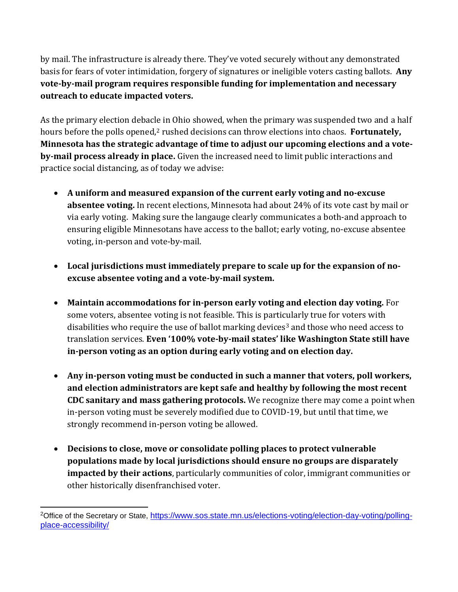by mail. The infrastructure is already there. They've voted securely without any demonstrated basis for fears of voter intimidation, forgery of signatures or ineligible voters casting ballots. **Any vote-by-mail program requires responsible funding for implementation and necessary outreach to educate impacted voters.**

As the primary election debacle in Ohio showed, when the primary was suspended two and a half hours before the polls opened,<sup>2</sup> rushed decisions can throw elections into chaos. **Fortunately**, **Minnesota has the strategic advantage of time to adjust our upcoming elections and a voteby-mail process already in place.** Given the increased need to limit public interactions and practice social distancing, as of today we advise:

- **A uniform and measured expansion of the current early voting and no-excuse absentee voting.** In recent elections, Minnesota had about 24% of its vote cast by mail or via early voting. Making sure the langauge clearly communicates a both-and approach to ensuring eligible Minnesotans have access to the ballot; early voting, no-excuse absentee voting, in-person and vote-by-mail.
- **Local jurisdictions must immediately prepare to scale up for the expansion of noexcuse absentee voting and a vote-by-mail system.**
- **Maintain accommodations for in-person early voting and election day voting.** For some voters, absentee voting is not feasible. This is particularly true for voters with disabilities who require the use of ballot marking devices<sup>3</sup> and those who need access to translation services. **Even '100% vote-by-mail states' like Washington State still have in-person voting as an option during early voting and on election day.**
- **Any in-person voting must be conducted in such a manner that voters, poll workers, and election administrators are kept safe and healthy by following the most recent CDC sanitary and mass gathering protocols.** We recognize there may come a point when in-person voting must be severely modified due to COVID-19, but until that time, we strongly recommend in-person voting be allowed.
- **Decisions to close, move or consolidate polling places to protect vulnerable populations made by local jurisdictions should ensure no groups are disparately impacted by their actions**, particularly communities of color, immigrant communities or other historically disenfranchised voter.

<sup>&</sup>lt;sup>2</sup>Office of the Secretary or State, [https://www.sos.state.mn.us/elections-voting/election-day-voting/polling](https://www.sos.state.mn.us/elections-voting/election-day-voting/polling-place-accessibility/)[place-accessibility/](https://www.sos.state.mn.us/elections-voting/election-day-voting/polling-place-accessibility/)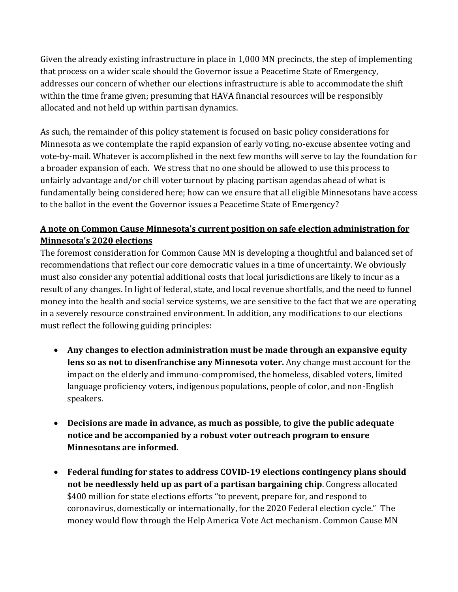Given the already existing infrastructure in place in 1,000 MN precincts, the step of implementing that process on a wider scale should the Governor issue a Peacetime State of Emergency, addresses our concern of whether our elections infrastructure is able to accommodate the shift within the time frame given; presuming that HAVA financial resources will be responsibly allocated and not held up within partisan dynamics.

As such, the remainder of this policy statement is focused on basic policy considerations for Minnesota as we contemplate the rapid expansion of early voting, no-excuse absentee voting and vote-by-mail. Whatever is accomplished in the next few months will serve to lay the foundation for a broader expansion of each. We stress that no one should be allowed to use this process to unfairly advantage and/or chill voter turnout by placing partisan agendas ahead of what is fundamentally being considered here; how can we ensure that all eligible Minnesotans have access to the ballot in the event the Governor issues a Peacetime State of Emergency?

## **A note on Common Cause Minnesota's current position on safe election administration for Minnesota's 2020 elections**

The foremost consideration for Common Cause MN is developing a thoughtful and balanced set of recommendations that reflect our core democratic values in a time of uncertainty. We obviously must also consider any potential additional costs that local jurisdictions are likely to incur as a result of any changes. In light of federal, state, and local revenue shortfalls, and the need to funnel money into the health and social service systems, we are sensitive to the fact that we are operating in a severely resource constrained environment. In addition, any modifications to our elections must reflect the following guiding principles:

- **Any changes to election administration must be made through an expansive equity lens so as not to disenfranchise any Minnesota voter.** Any change must account for the impact on the elderly and immuno-compromised, the homeless, disabled voters, limited language proficiency voters, indigenous populations, people of color, and non-English speakers.
- **Decisions are made in advance, as much as possible, to give the public adequate notice and be accompanied by a robust voter outreach program to ensure Minnesotans are informed.**
- **Federal funding for states to address COVID-19 elections contingency plans should not be needlessly held up as part of a partisan bargaining chip**. Congress allocated \$400 million for state elections efforts "to prevent, prepare for, and respond to coronavirus, domestically or internationally, for the 2020 Federal election cycle." The money would flow through the Help America Vote Act mechanism. Common Cause MN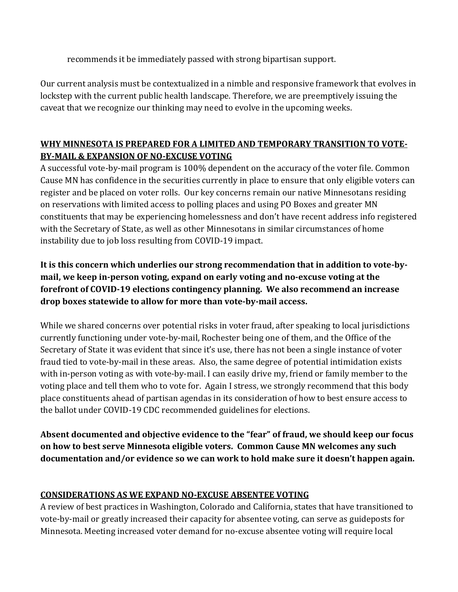recommends it be immediately passed with strong bipartisan support.

Our current analysis must be contextualized in a nimble and responsive framework that evolves in lockstep with the current public health landscape. Therefore, we are preemptively issuing the caveat that we recognize our thinking may need to evolve in the upcoming weeks.

# **WHY MINNESOTA IS PREPARED FOR A LIMITED AND TEMPORARY TRANSITION TO VOTE-BY-MAIL & EXPANSION OF NO-EXCUSE VOTING**

A successful vote-by-mail program is 100% dependent on the accuracy of the voter file. Common Cause MN has confidence in the securities currently in place to ensure that only eligible voters can register and be placed on voter rolls. Our key concerns remain our native Minnesotans residing on reservations with limited access to polling places and using PO Boxes and greater MN constituents that may be experiencing homelessness and don't have recent address info registered with the Secretary of State, as well as other Minnesotans in similar circumstances of home instability due to job loss resulting from COVID-19 impact.

**It is this concern which underlies our strong recommendation that in addition to vote-bymail, we keep in-person voting, expand on early voting and no-excuse voting at the forefront of COVID-19 elections contingency planning. We also recommend an increase drop boxes statewide to allow for more than vote-by-mail access.** 

While we shared concerns over potential risks in voter fraud, after speaking to local jurisdictions currently functioning under vote-by-mail, Rochester being one of them, and the Office of the Secretary of State it was evident that since it's use, there has not been a single instance of voter fraud tied to vote-by-mail in these areas. Also, the same degree of potential intimidation exists with in-person voting as with vote-by-mail. I can easily drive my, friend or family member to the voting place and tell them who to vote for. Again I stress, we strongly recommend that this body place constituents ahead of partisan agendas in its consideration of how to best ensure access to the ballot under COVID-19 CDC recommended guidelines for elections.

**Absent documented and objective evidence to the "fear" of fraud, we should keep our focus on how to best serve Minnesota eligible voters. Common Cause MN welcomes any such documentation and/or evidence so we can work to hold make sure it doesn't happen again.**

## **CONSIDERATIONS AS WE EXPAND NO-EXCUSE ABSENTEE VOTING**

A review of best practices in Washington, Colorado and California, states that have transitioned to vote-by-mail or greatly increased their capacity for absentee voting, can serve as guideposts for Minnesota. Meeting increased voter demand for no-excuse absentee voting will require local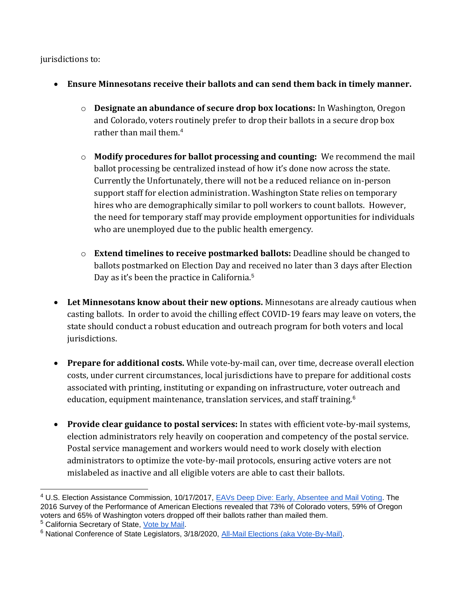jurisdictions to:

- **Ensure Minnesotans receive their ballots and can send them back in timely manner.**
	- o **Designate an abundance of secure drop box locations:** In Washington, Oregon and Colorado, voters routinely prefer to drop their ballots in a secure drop box rather than mail them.<sup>4</sup>
	- o **Modify procedures for ballot processing and counting:** We recommend the mail ballot processing be centralized instead of how it's done now across the state. Currently the Unfortunately, there will not be a reduced reliance on in-person support staff for election administration. Washington State relies on temporary hires who are demographically similar to poll workers to count ballots. However, the need for temporary staff may provide employment opportunities for individuals who are unemployed due to the public health emergency.
	- o **Extend timelines to receive postmarked ballots:** Deadline should be changed to ballots postmarked on Election Day and received no later than 3 days after Election Day as it's been the practice in California.<sup>5</sup>
- **Let Minnesotans know about their new options.** Minnesotans are already cautious when casting ballots. In order to avoid the chilling effect COVID-19 fears may leave on voters, the state should conduct a robust education and outreach program for both voters and local jurisdictions.
- **Prepare for additional costs.** While vote-by-mail can, over time, decrease overall election costs, under current circumstances, local jurisdictions have to prepare for additional costs associated with printing, instituting or expanding on infrastructure, voter outreach and education, equipment maintenance, translation services, and staff training.<sup>6</sup>
- **Provide clear guidance to postal services:** In states with efficient vote-by-mail systems, election administrators rely heavily on cooperation and competency of the postal service. Postal service management and workers would need to work closely with election administrators to optimize the vote-by-mail protocols, ensuring active voters are not mislabeled as inactive and all eligible voters are able to cast their ballots.

<sup>&</sup>lt;sup>4</sup> U.S. Election Assistance Commission, 10/17/2017, **EAVs Deep Dive: Early, Absentee and Mail Voting**. The 2016 Survey of the Performance of American Elections revealed that 73% of Colorado voters, 59% of Oregon voters and 65% of Washington voters dropped off their ballots rather than mailed them.

<sup>5</sup> California Secretary of State, [Vote by Mail.](https://www.sos.ca.gov/elections/voter-registration/vote-mail/)

<sup>&</sup>lt;sup>6</sup> National Conference of State Legislators, 3/18/2020, [All-Mail Elections \(aka Vote-By-Mail\).](https://www.ncsl.org/research/elections-and-campaigns/all-mail-elections.aspx)